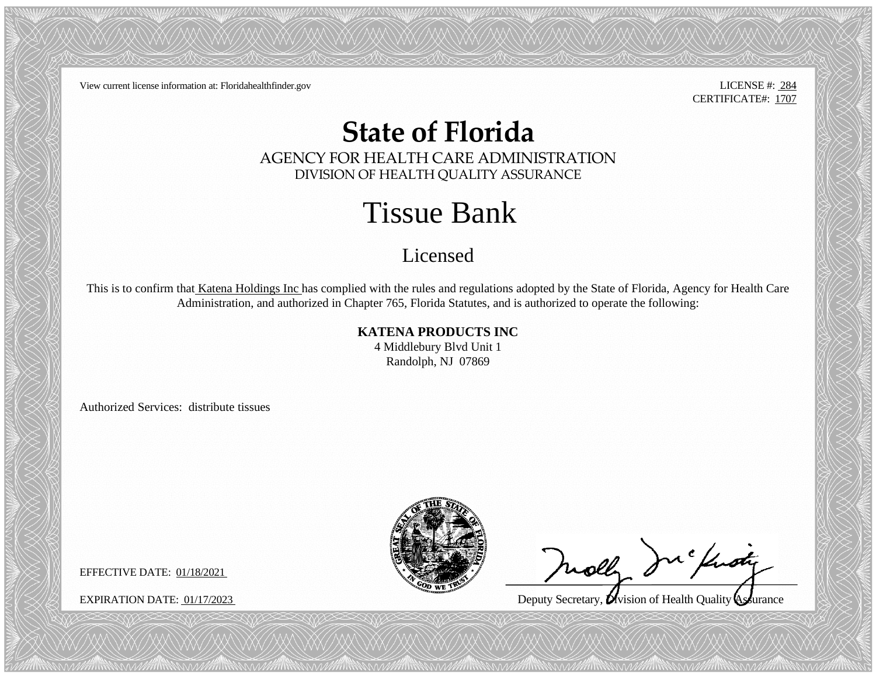View current license information at: Floridahealthfinder.gov LICENSE #: 284

CERTIFICATE#: 1707

## **State of Florida**

AGENCY FOR HEALTH CARE ADMINISTRATION DIVISION OF HEALTH QUALITY ASSURANCE

## Tissue Bank

## Licensed

This is to confirm that Katena Holdings Inc has complied with the rules and regulations adopted by the State of Florida, Agency for Health Care Administration, and authorized in Chapter 765, Florida Statutes, and is authorized to operate the following:

**KATENA PRODUCTS INC**

4 Middlebury Blvd Unit 1 Randolph, NJ 07869

Authorized Services: distribute tissues



molly Including

 $\ddot{\phantom{0}}$ 

EXPIRATION DATE: 01/17/2023 Deputy Secretary, Uvision of Health Quality Assurance

EFFECTIVE DATE: 01/18/2021